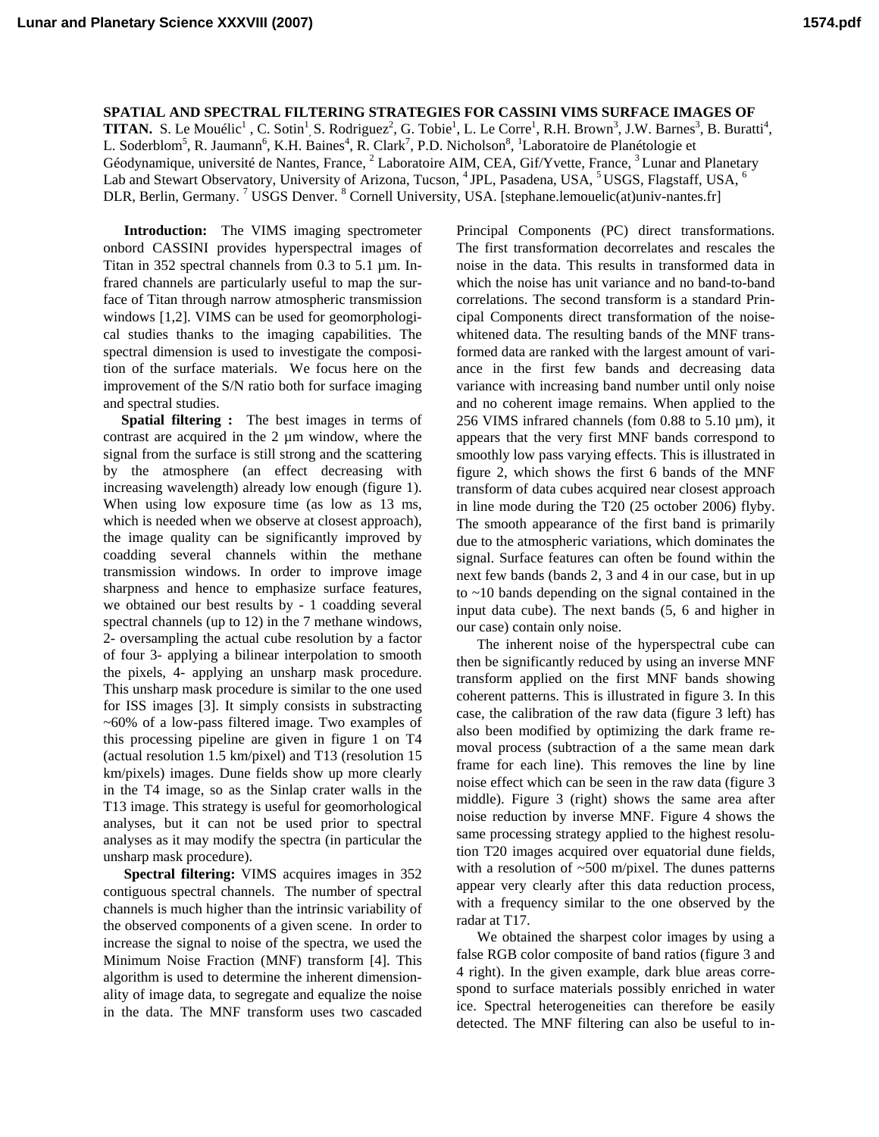**SPATIAL AND SPECTRAL FILTERING STRATEGIES FOR CASSINI VIMS SURFACE IMAGES OF TITAN.** S. Le Mouélic<sup>1</sup>, C. Sotin<sup>1</sup>, S. Rodriguez<sup>2</sup>, G. Tobie<sup>1</sup>, L. Le Corre<sup>1</sup>, R.H. Brown<sup>3</sup>, J.W. Barnes<sup>3</sup>, B. Buratti<sup>4</sup>, L. Soderblom<sup>5</sup>, R. Jaumann<sup>6</sup>, K.H. Baines<sup>4</sup>, R. Clark<sup>7</sup>, P.D. Nicholson<sup>8</sup>, <sup>1</sup>Laboratoire de Planétologie et Géodynamique, université de Nantes, France, <sup>2</sup> Laboratoire AIM, CEA, Gif/Yvette, France, <sup>3</sup> Lunar and Planetary Lab and Stewart Observatory, University of Arizona, Tucson, <sup>4</sup> JPL, Pasadena, USA, <sup>5</sup> USGS, Flagstaff, USA, <sup>6</sup> DLR, Berlin, Germany.<sup>7</sup> USGS Denver.<sup>8</sup> Cornell University, USA. [stephane.lemouelic(at)univ-nantes.fr]

**Introduction:** The VIMS imaging spectrometer onbord CASSINI provides hyperspectral images of Titan in 352 spectral channels from 0.3 to 5.1 µm. Infrared channels are particularly useful to map the surface of Titan through narrow atmospheric transmission windows [1,2]. VIMS can be used for geomorphological studies thanks to the imaging capabilities. The spectral dimension is used to investigate the composition of the surface materials. We focus here on the improvement of the S/N ratio both for surface imaging and spectral studies.

 **Spatial filtering :** The best images in terms of contrast are acquired in the 2 µm window, where the signal from the surface is still strong and the scattering by the atmosphere (an effect decreasing with increasing wavelength) already low enough (figure 1). When using low exposure time (as low as 13 ms, which is needed when we observe at closest approach), the image quality can be significantly improved by coadding several channels within the methane transmission windows. In order to improve image sharpness and hence to emphasize surface features, we obtained our best results by - 1 coadding several spectral channels (up to 12) in the 7 methane windows, 2- oversampling the actual cube resolution by a factor of four 3- applying a bilinear interpolation to smooth the pixels, 4- applying an unsharp mask procedure. This unsharp mask procedure is similar to the one used for ISS images [3]. It simply consists in substracting ~60% of a low-pass filtered image. Two examples of this processing pipeline are given in figure 1 on T4 (actual resolution 1.5 km/pixel) and T13 (resolution 15 km/pixels) images. Dune fields show up more clearly in the T4 image, so as the Sinlap crater walls in the T13 image. This strategy is useful for geomorhological analyses, but it can not be used prior to spectral analyses as it may modify the spectra (in particular the unsharp mask procedure).

**Spectral filtering:** VIMS acquires images in 352 contiguous spectral channels. The number of spectral channels is much higher than the intrinsic variability of the observed components of a given scene. In order to increase the signal to noise of the spectra, we used the Minimum Noise Fraction (MNF) transform [4]. This algorithm is used to determine the inherent dimensionality of image data, to segregate and equalize the noise in the data. The MNF transform uses two cascaded

Principal Components (PC) direct transformations. The first transformation decorrelates and rescales the noise in the data. This results in transformed data in which the noise has unit variance and no band-to-band correlations. The second transform is a standard Principal Components direct transformation of the noisewhitened data. The resulting bands of the MNF transformed data are ranked with the largest amount of variance in the first few bands and decreasing data variance with increasing band number until only noise and no coherent image remains. When applied to the 256 VIMS infrared channels (fom  $0.88$  to  $5.10 \mu m$ ), it appears that the very first MNF bands correspond to smoothly low pass varying effects. This is illustrated in figure 2, which shows the first 6 bands of the MNF transform of data cubes acquired near closest approach in line mode during the T20 (25 october 2006) flyby. The smooth appearance of the first band is primarily due to the atmospheric variations, which dominates the signal. Surface features can often be found within the next few bands (bands 2, 3 and 4 in our case, but in up to ~10 bands depending on the signal contained in the input data cube). The next bands (5, 6 and higher in our case) contain only noise.

The inherent noise of the hyperspectral cube can then be significantly reduced by using an inverse MNF transform applied on the first MNF bands showing coherent patterns. This is illustrated in figure 3. In this case, the calibration of the raw data (figure 3 left) has also been modified by optimizing the dark frame removal process (subtraction of a the same mean dark frame for each line). This removes the line by line noise effect which can be seen in the raw data (figure 3 middle). Figure 3 (right) shows the same area after noise reduction by inverse MNF. Figure 4 shows the same processing strategy applied to the highest resolution T20 images acquired over equatorial dune fields, with a resolution of  $~500$  m/pixel. The dunes patterns appear very clearly after this data reduction process, with a frequency similar to the one observed by the radar at T17.

We obtained the sharpest color images by using a false RGB color composite of band ratios (figure 3 and 4 right). In the given example, dark blue areas correspond to surface materials possibly enriched in water ice. Spectral heterogeneities can therefore be easily detected. The MNF filtering can also be useful to in